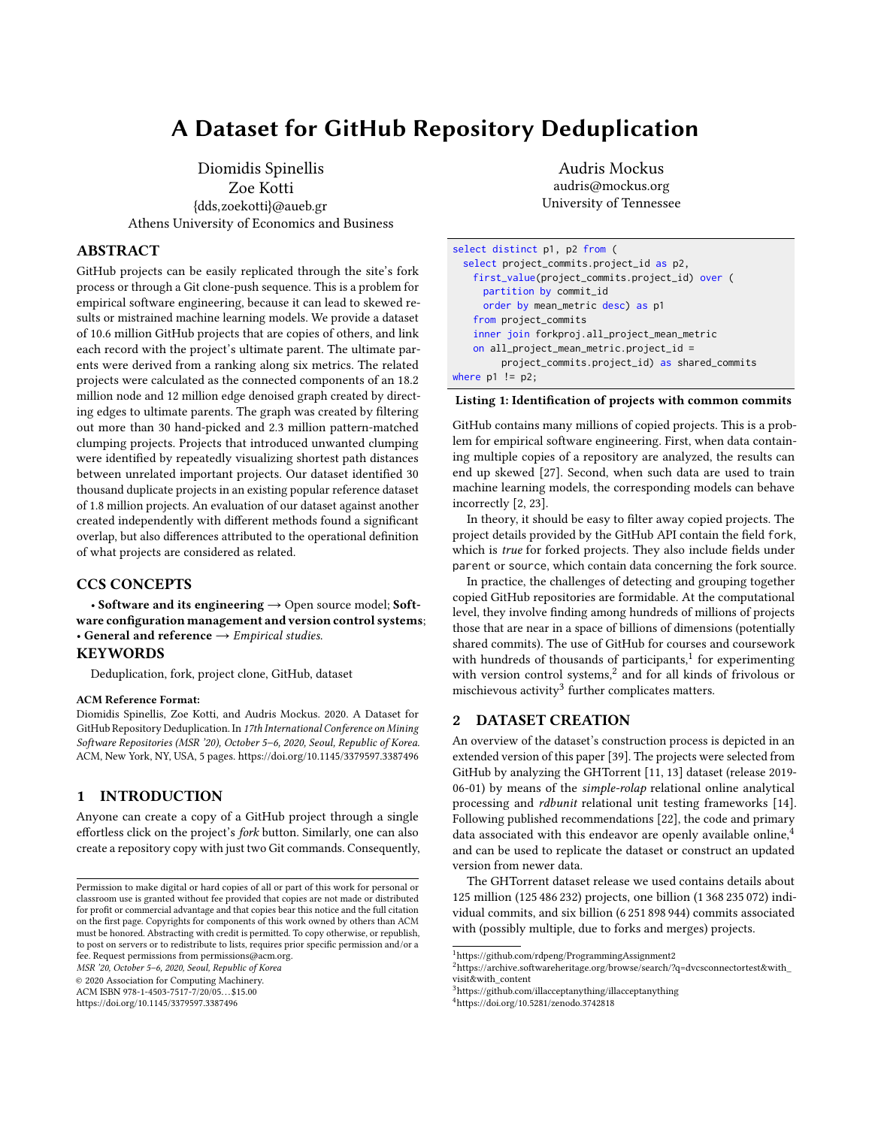# A Dataset for GitHub Repository Deduplication

Diomidis Spinellis Zoe Kotti {dds,zoekotti}@aueb.gr Athens University of Economics and Business

# ABSTRACT

GitHub projects can be easily replicated through the site's fork process or through a Git clone-push sequence. This is a problem for empirical software engineering, because it can lead to skewed results or mistrained machine learning models. We provide a dataset of 10.6 million GitHub projects that are copies of others, and link each record with the project's ultimate parent. The ultimate parents were derived from a ranking along six metrics. The related projects were calculated as the connected components of an 18.2 million node and 12 million edge denoised graph created by directing edges to ultimate parents. The graph was created by filtering out more than 30 hand-picked and 2.3 million pattern-matched clumping projects. Projects that introduced unwanted clumping were identified by repeatedly visualizing shortest path distances between unrelated important projects. Our dataset identified 30 thousand duplicate projects in an existing popular reference dataset of 1.8 million projects. An evaluation of our dataset against another created independently with different methods found a significant overlap, but also differences attributed to the operational definition of what projects are considered as related.

## CCS CONCEPTS

• Software and its engineering  $\rightarrow$  Open source model; Software configuration management and version control systems; • General and reference  $\rightarrow$  Empirical studies.

## **KEYWORDS**

Deduplication, fork, project clone, GitHub, dataset

#### ACM Reference Format:

Diomidis Spinellis, Zoe Kotti, and Audris Mockus. 2020. A Dataset for GitHub Repository Deduplication. In 17th International Conference on Mining Software Repositories (MSR '20), October 5–6, 2020, Seoul, Republic of Korea. ACM, New York, NY, USA, [5](#page-4-0) pages.<https://doi.org/10.1145/3379597.3387496>

## <span id="page-0-5"></span>1 INTRODUCTION

Anyone can create a copy of a GitHub project through a single effortless click on the project's fork button. Similarly, one can also create a repository copy with just two Git commands. Consequently,

MSR '20, October 5–6, 2020, Seoul, Republic of Korea

© 2020 Association for Computing Machinery.

ACM ISBN 978-1-4503-7517-7/20/05. . . \$15.00

<https://doi.org/10.1145/3379597.3387496>

Audris Mockus audris@mockus.org University of Tennessee

<span id="page-0-4"></span>

| select distinct p1, p2 from (                  |
|------------------------------------------------|
| select project_commits.project_id as p2,       |
| first_value(project_commits.project_id) over ( |
| partition by commit_id                         |
| order by mean_metric desc) as p1               |
| from project_commits                           |
| inner join forkproj.all_project_mean_metric    |
| on all_project_mean_metric.project_id =        |
| project_commits.project_id) as shared_commits  |
| where $p1 := p2$ ;                             |

#### Listing 1: Identification of projects with common commits

GitHub contains many millions of copied projects. This is a problem for empirical software engineering. First, when data containing multiple copies of a repository are analyzed, the results can end up skewed [\[27\]](#page-4-1). Second, when such data are used to train machine learning models, the corresponding models can behave incorrectly [\[2,](#page-4-2) [23\]](#page-4-3).

In theory, it should be easy to filter away copied projects. The project details provided by the GitHub API contain the field fork, which is true for forked projects. They also include fields under parent or source, which contain data concerning the fork source.

In practice, the challenges of detecting and grouping together copied GitHub repositories are formidable. At the computational level, they involve finding among hundreds of millions of projects those that are near in a space of billions of dimensions (potentially shared commits). The use of GitHub for courses and coursework with hundreds of thousands of participants, $1$  for experimenting with version control systems,<sup>[2](#page-0-1)</sup> and for all kinds of frivolous or mischievous activity $3$  further complicates matters.

## 2 DATASET CREATION

An overview of the dataset's construction process is depicted in an extended version of this paper [\[39\]](#page-4-4). The projects were selected from GitHub by analyzing the GHTorrent [\[11,](#page-4-5) [13\]](#page-4-6) dataset (release 2019- 06-01) by means of the simple-rolap relational online analytical processing and rdbunit relational unit testing frameworks [\[14\]](#page-4-7). Following published recommendations [\[22\]](#page-4-8), the code and primary data associated with this endeavor are openly available online,<sup>[4](#page-0-3)</sup> and can be used to replicate the dataset or construct an updated version from newer data.

The GHTorrent dataset release we used contains details about 125 million (125 486 232) projects, one billion (1 368 235 072) individual commits, and six billion (6 251 898 944) commits associated with (possibly multiple, due to forks and merges) projects.

<span id="page-0-3"></span><sup>4</sup><https://doi.org/10.5281/zenodo.3742818>

Permission to make digital or hard copies of all or part of this work for personal or classroom use is granted without fee provided that copies are not made or distributed for profit or commercial advantage and that copies bear this notice and the full citation on the first page. Copyrights for components of this work owned by others than ACM must be honored. Abstracting with credit is permitted. To copy otherwise, or republish, to post on servers or to redistribute to lists, requires prior specific permission and/or a fee. Request permissions from permissions@acm.org.

<span id="page-0-0"></span> $^1$ <https://github.com/rdpeng/ProgrammingAssignment2>

<span id="page-0-1"></span> $^2$ [https://archive.softwareheritage.org/browse/search/?q=dvcsconnectortest&with\\_](https://archive.softwareheritage.org/browse/search/?q=dvcsconnectortest&with_visit&with_content) [visit&with\\_content](https://archive.softwareheritage.org/browse/search/?q=dvcsconnectortest&with_visit&with_content)

<span id="page-0-2"></span><sup>3</sup><https://github.com/illacceptanything/illacceptanything>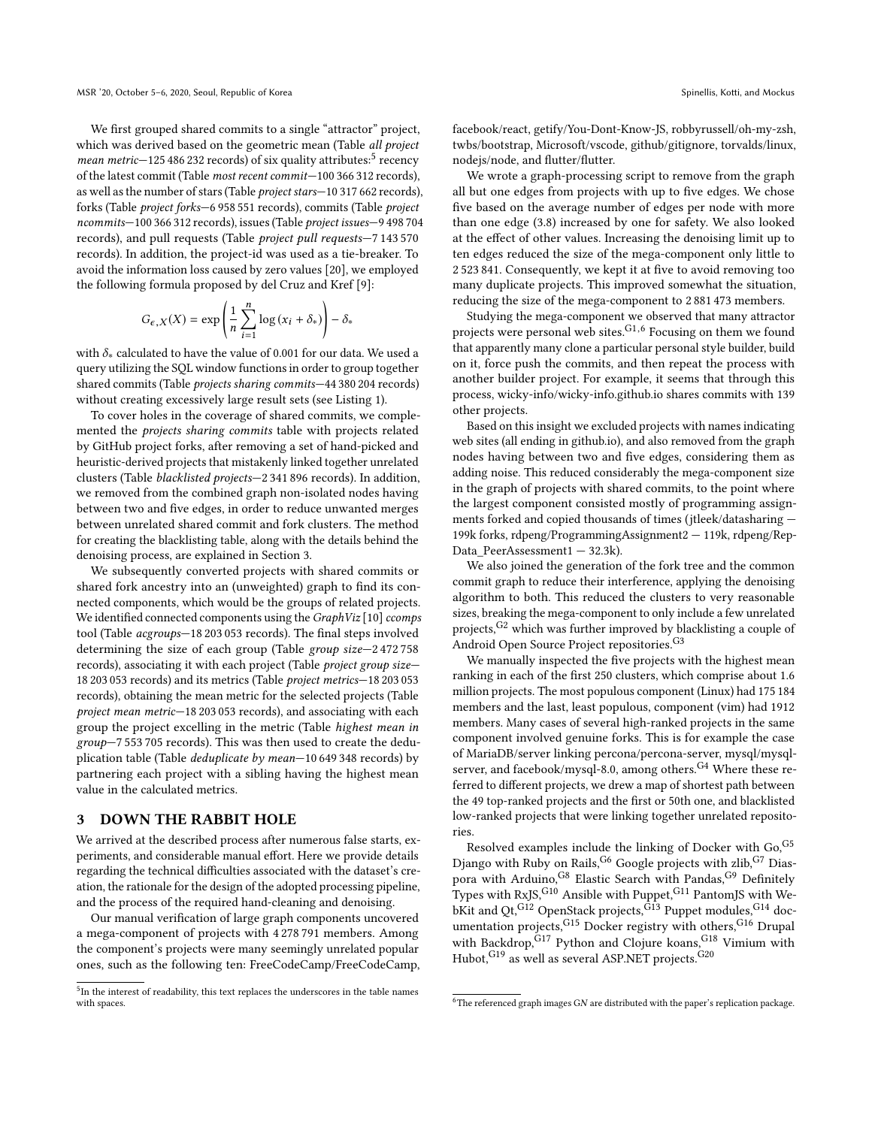We first grouped shared commits to a single "attractor" project, which was derived based on the geometric mean (Table all project mean metric-12[5](#page-1-0) 486 232 records) of six quality attributes:<sup>5</sup> recency of the latest commit (Table most recent commit—100 366 312 records), as well as the number of stars (Table project stars—10 317 662 records), forks (Table project forks—6 958 551 records), commits (Table project ncommits—100 366 312 records), issues (Table project issues—9 498 704 records), and pull requests (Table project pull requests—7 143 570 records). In addition, the project-id was used as a tie-breaker. To avoid the information loss caused by zero values [\[20\]](#page-4-9), we employed the following formula proposed by del Cruz and Kref [\[9\]](#page-4-10):

$$
G_{\epsilon,X}(X) = \exp\left(\frac{1}{n}\sum_{i=1}^n \log\left(x_i + \delta_*\right)\right) - \delta_*
$$

with  $\delta_*$  calculated to have the value of 0.001 for our data. We used a query utilizing the SQL window functions in order to group together shared commits (Table projects sharing commits—44 380 204 records) without creating excessively large result sets (see Listing [1\)](#page-0-4).

To cover holes in the coverage of shared commits, we complemented the projects sharing commits table with projects related by GitHub project forks, after removing a set of hand-picked and heuristic-derived projects that mistakenly linked together unrelated clusters (Table blacklisted projects—2 341 896 records). In addition, we removed from the combined graph non-isolated nodes having between two and five edges, in order to reduce unwanted merges between unrelated shared commit and fork clusters. The method for creating the blacklisting table, along with the details behind the denoising process, are explained in Section [3.](#page-1-1)

We subsequently converted projects with shared commits or shared fork ancestry into an (unweighted) graph to find its connected components, which would be the groups of related projects. We identified connected components using the GraphViz [\[10\]](#page-4-11) ccomps tool (Table acgroups—18 203 053 records). The final steps involved determining the size of each group (Table group size—2 472 758 records), associating it with each project (Table project group size— 18 203 053 records) and its metrics (Table project metrics—18 203 053 records), obtaining the mean metric for the selected projects (Table project mean metric—18 203 053 records), and associating with each group the project excelling in the metric (Table highest mean in group—7 553 705 records). This was then used to create the deduplication table (Table deduplicate by mean—10 649 348 records) by partnering each project with a sibling having the highest mean value in the calculated metrics.

### <span id="page-1-1"></span>3 DOWN THE RABBIT HOLE

We arrived at the described process after numerous false starts, experiments, and considerable manual effort. Here we provide details regarding the technical difficulties associated with the dataset's creation, the rationale for the design of the adopted processing pipeline, and the process of the required hand-cleaning and denoising.

Our manual verification of large graph components uncovered a mega-component of projects with 4 278 791 members. Among the component's projects were many seemingly unrelated popular ones, such as the following ten: FreeCodeCamp/FreeCodeCamp, facebook/react, getify/You-Dont-Know-JS, robbyrussell/oh-my-zsh, twbs/bootstrap, Microsoft/vscode, github/gitignore, torvalds/linux, nodejs/node, and flutter/flutter.

We wrote a graph-processing script to remove from the graph all but one edges from projects with up to five edges. We chose five based on the average number of edges per node with more than one edge (3.8) increased by one for safety. We also looked at the effect of other values. Increasing the denoising limit up to ten edges reduced the size of the mega-component only little to 2 523 841. Consequently, we kept it at five to avoid removing too many duplicate projects. This improved somewhat the situation, reducing the size of the mega-component to 2 881 473 members.

Studying the mega-component we observed that many attractor projects were personal web sites. $G<sup>1,6</sup>$  $G<sup>1,6</sup>$  $G<sup>1,6</sup>$  Focusing on them we found that apparently many clone a particular personal style builder, build on it, force push the commits, and then repeat the process with another builder project. For example, it seems that through this process, wicky-info/wicky-info.github.io shares commits with 139 other projects.

Based on this insight we excluded projects with names indicating web sites (all ending in github.io), and also removed from the graph nodes having between two and five edges, considering them as adding noise. This reduced considerably the mega-component size in the graph of projects with shared commits, to the point where the largest component consisted mostly of programming assignments forked and copied thousands of times (jtleek/datasharing — 199k forks, rdpeng/ProgrammingAssignment2 — 119k, rdpeng/Rep-Data\_PeerAssessment1 — 32.3k).

We also joined the generation of the fork tree and the common commit graph to reduce their interference, applying the denoising algorithm to both. This reduced the clusters to very reasonable sizes, breaking the mega-component to only include a few unrelated projects,  $G^2$  which was further improved by blacklisting a couple of Android Open Source Project repositories.<sup>G3</sup>

We manually inspected the five projects with the highest mean ranking in each of the first 250 clusters, which comprise about 1.6 million projects. The most populous component (Linux) had 175 184 members and the last, least populous, component (vim) had 1912 members. Many cases of several high-ranked projects in the same component involved genuine forks. This is for example the case of MariaDB/server linking percona/percona-server, mysql/mysqlserver, and facebook/mysql-8.0, among others.<sup>G4</sup> Where these referred to different projects, we drew a map of shortest path between the 49 top-ranked projects and the first or 50th one, and blacklisted low-ranked projects that were linking together unrelated repositories.

Resolved examples include the linking of Docker with Go, G5 Django with Ruby on Rails, $^{G6}$  Google projects with zlib, $^{G7}$  Diaspora with Arduino,<sup>G8</sup> Elastic Search with Pandas,<sup>G9</sup> Definitely Types with RxJS, $^{\rm G10}$  Ansible with Puppet, $^{\rm G11}$  PantomJS with WebKit and Qt, $^{G12}$  OpenStack projects, $^{G13}$  Puppet modules, $^{G14}$  documentation projects,<sup>G15</sup> Docker registry with others,<sup>G16</sup> Drupal with Backdrop, G17 Python and Clojure koans, G18 Vimium with Hubot,  $G^{19}$  as well as several ASP.NET projects.  $G^{20}$ 

<span id="page-1-0"></span><sup>&</sup>lt;sup>5</sup>In the interest of readability, this text replaces the underscores in the table names with spaces.

<span id="page-1-2"></span> $6$ The referenced graph images GN are distributed with the paper's replication package.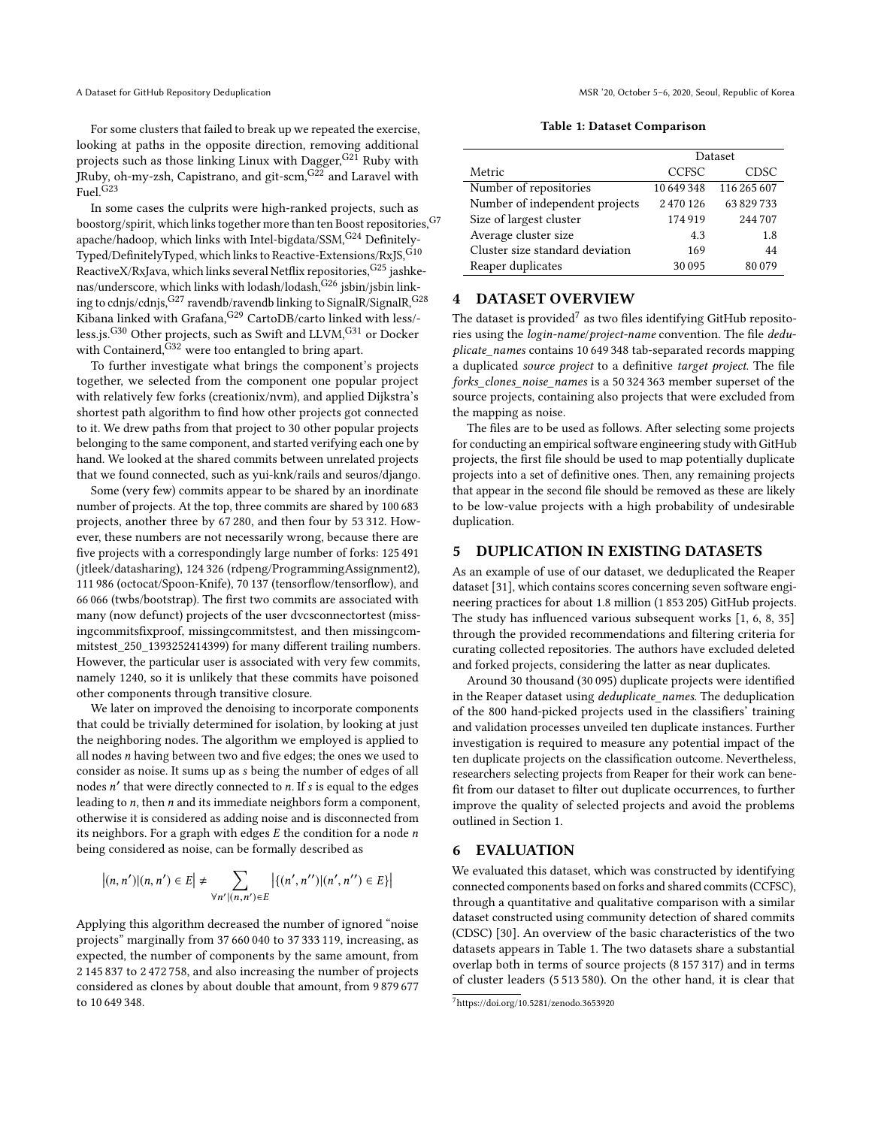For some clusters that failed to break up we repeated the exercise, looking at paths in the opposite direction, removing additional projects such as those linking Linux with Dagger, G21 Ruby with JRuby, oh-my-zsh, Capistrano, and git-scm,G22 and Laravel with Fuel.G23

In some cases the culprits were high-ranked projects, such as boostorg/spirit, which links together more than ten Boost repositories,  $\mathrm{^{G7}}$ apache/hadoop, which links with Intel-bigdata/SSM, G<sup>24</sup> Definitely-Typed/DefinitelyTyped, which links to Reactive-Extensions/RxJS, G10 ReactiveX/RxJava, which links several Netflix repositories,  $G^{25}$  jashkenas/underscore, which links with lodash/lodash, G26 jsbin/jsbin linking to cdnjs/cdnjs, G<sup>27</sup> ravendb/ravendb linking to SignalR/SignalR, G<sup>28</sup> Kibana linked with Grafana, <sup>G29</sup> CartoDB/carto linked with less/less.js.<sup>G30</sup> Other projects, such as Swift and LLVM,<sup>G31</sup> or Docker with Containerd, $G32$  were too entangled to bring apart.

To further investigate what brings the component's projects together, we selected from the component one popular project with relatively few forks (creationix/nvm), and applied Dijkstra's shortest path algorithm to find how other projects got connected to it. We drew paths from that project to 30 other popular projects belonging to the same component, and started verifying each one by hand. We looked at the shared commits between unrelated projects that we found connected, such as yui-knk/rails and seuros/django.

Some (very few) commits appear to be shared by an inordinate number of projects. At the top, three commits are shared by 100 683 projects, another three by 67 280, and then four by 53 312. However, these numbers are not necessarily wrong, because there are five projects with a correspondingly large number of forks: 125 491 (jtleek/datasharing), 124 326 (rdpeng/ProgrammingAssignment2), 111 986 (octocat/Spoon-Knife), 70 137 (tensorflow/tensorflow), and 66 066 (twbs/bootstrap). The first two commits are associated with many (now defunct) projects of the user dvcsconnectortest (missingcommitsfixproof, missingcommitstest, and then missingcommitstest\_250\_1393252414399) for many different trailing numbers. However, the particular user is associated with very few commits, namely 1240, so it is unlikely that these commits have poisoned other components through transitive closure.

We later on improved the denoising to incorporate components that could be trivially determined for isolation, by looking at just the neighboring nodes. The algorithm we employed is applied to all nodes n having between two and five edges; the ones we used to consider as noise. It sums up as s being the number of edges of all nodes *n'* that were directly connected to *n*. If *s* is equal to the edges leading to *n* then *n* and its immediate neighbors form a component leading to n, then n and its immediate neighbors form a component, otherwise it is considered as adding noise and is disconnected from its neighbors. For a graph with edges  $E$  the condition for a node  $n$ being considered as noise, can be formally described as

$$
|(n, n')|(n, n') \in E
$$
  $\neq \sum_{\forall n' | (n, n') \in E} |\{(n', n'')|(n', n'') \in E\}|$ 

Applying this algorithm decreased the number of ignored "noise projects" marginally from 37 660 040 to 37 333 119, increasing, as expected, the number of components by the same amount, from 2 145 837 to 2 472 758, and also increasing the number of projects considered as clones by about double that amount, from 9 879 677 to 10 649 348.

Table 1: Dataset Comparison

<span id="page-2-1"></span>

|                                 | Dataset      |             |
|---------------------------------|--------------|-------------|
| Metric                          | <b>CCFSC</b> | CDSC        |
| Number of repositories          | 10649348     | 116 265 607 |
| Number of independent projects  | 2470126      | 63829733    |
| Size of largest cluster         | 174919       | 244707      |
| Average cluster size            | 4.3          | 1.8         |
| Cluster size standard deviation | 169          | 44          |
| Reaper duplicates               | 30095        | 80079       |

## 4 DATASET OVERVIEW

The dataset is provided<sup>[7](#page-2-0)</sup> as two files identifying GitHub repositories using the login-name/project-name convention. The file deduplicate\_names contains 10 649 348 tab-separated records mapping a duplicated source project to a definitive target project. The file forks\_clones\_noise\_names is a 50 324 363 member superset of the source projects, containing also projects that were excluded from the mapping as noise.

The files are to be used as follows. After selecting some projects for conducting an empirical software engineering study with GitHub projects, the first file should be used to map potentially duplicate projects into a set of definitive ones. Then, any remaining projects that appear in the second file should be removed as these are likely to be low-value projects with a high probability of undesirable duplication.

#### 5 DUPLICATION IN EXISTING DATASETS

As an example of use of our dataset, we deduplicated the Reaper dataset [\[31\]](#page-4-12), which contains scores concerning seven software engineering practices for about 1.8 million (1 853 205) GitHub projects. The study has influenced various subsequent works [\[1,](#page-4-13) [6,](#page-4-14) [8,](#page-4-15) [35\]](#page-4-16) through the provided recommendations and filtering criteria for curating collected repositories. The authors have excluded deleted and forked projects, considering the latter as near duplicates.

Around 30 thousand (30 095) duplicate projects were identified in the Reaper dataset using deduplicate\_names. The deduplication of the 800 hand-picked projects used in the classifiers' training and validation processes unveiled ten duplicate instances. Further investigation is required to measure any potential impact of the ten duplicate projects on the classification outcome. Nevertheless, researchers selecting projects from Reaper for their work can benefit from our dataset to filter out duplicate occurrences, to further improve the quality of selected projects and avoid the problems outlined in Section [1.](#page-0-5)

#### 6 EVALUATION

We evaluated this dataset, which was constructed by identifying connected components based on forks and shared commits (CCFSC), through a quantitative and qualitative comparison with a similar dataset constructed using community detection of shared commits (CDSC) [\[30\]](#page-4-17). An overview of the basic characteristics of the two datasets appears in Table [1.](#page-2-1) The two datasets share a substantial overlap both in terms of source projects (8 157 317) and in terms of cluster leaders (5 513 580). On the other hand, it is clear that

<span id="page-2-0"></span><sup>7</sup><https://doi.org/10.5281/zenodo.3653920>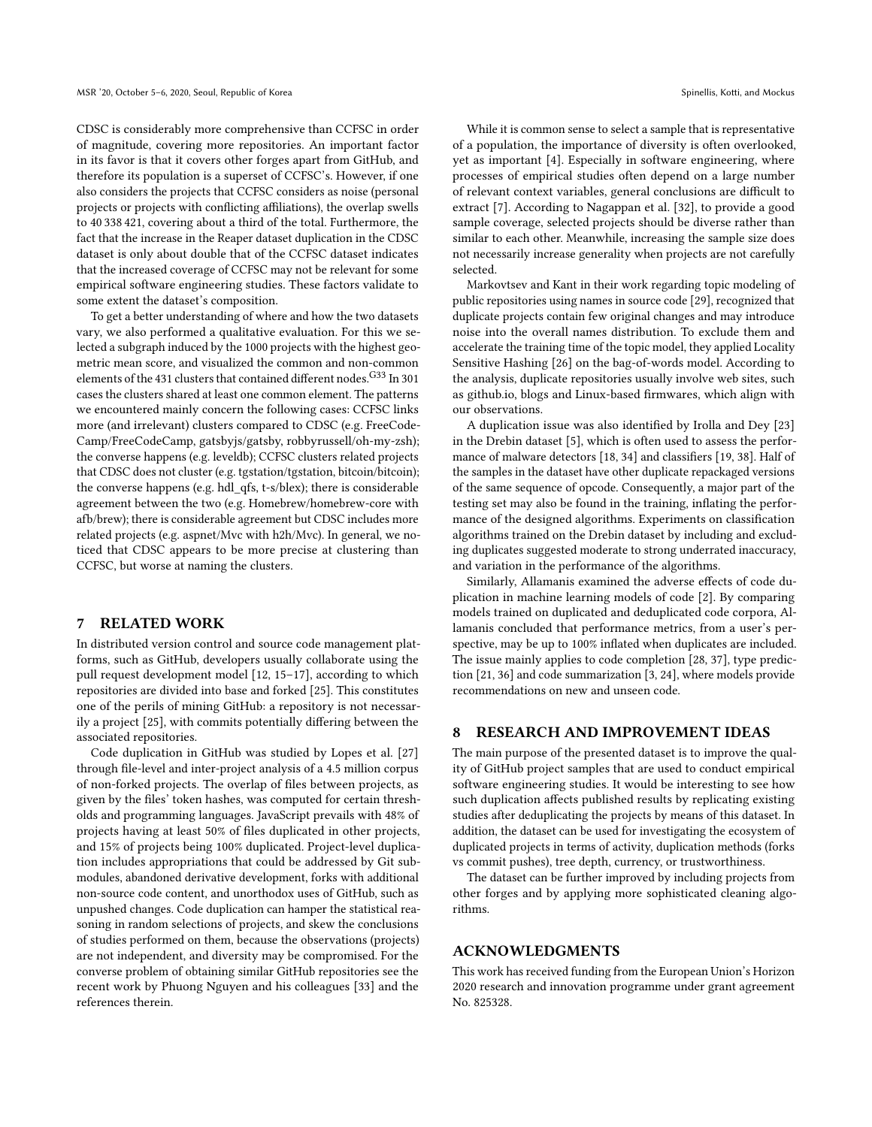CDSC is considerably more comprehensive than CCFSC in order of magnitude, covering more repositories. An important factor in its favor is that it covers other forges apart from GitHub, and therefore its population is a superset of CCFSC's. However, if one also considers the projects that CCFSC considers as noise (personal projects or projects with conflicting affiliations), the overlap swells to 40 338 421, covering about a third of the total. Furthermore, the fact that the increase in the Reaper dataset duplication in the CDSC dataset is only about double that of the CCFSC dataset indicates that the increased coverage of CCFSC may not be relevant for some empirical software engineering studies. These factors validate to some extent the dataset's composition.

To get a better understanding of where and how the two datasets vary, we also performed a qualitative evaluation. For this we selected a subgraph induced by the 1000 projects with the highest geometric mean score, and visualized the common and non-common elements of the 431 clusters that contained different nodes. G33 In 301 cases the clusters shared at least one common element. The patterns we encountered mainly concern the following cases: CCFSC links more (and irrelevant) clusters compared to CDSC (e.g. FreeCode-Camp/FreeCodeCamp, gatsbyjs/gatsby, robbyrussell/oh-my-zsh); the converse happens (e.g. leveldb); CCFSC clusters related projects that CDSC does not cluster (e.g. tgstation/tgstation, bitcoin/bitcoin); the converse happens (e.g. hdl\_qfs, t-s/blex); there is considerable agreement between the two (e.g. Homebrew/homebrew-core with afb/brew); there is considerable agreement but CDSC includes more related projects (e.g. aspnet/Mvc with h2h/Mvc). In general, we noticed that CDSC appears to be more precise at clustering than CCFSC, but worse at naming the clusters.

#### 7 RELATED WORK

In distributed version control and source code management platforms, such as GitHub, developers usually collaborate using the pull request development model [\[12,](#page-4-18) [15–](#page-4-19)[17\]](#page-4-20), according to which repositories are divided into base and forked [\[25\]](#page-4-21). This constitutes one of the perils of mining GitHub: a repository is not necessarily a project [\[25\]](#page-4-21), with commits potentially differing between the associated repositories.

Code duplication in GitHub was studied by Lopes et al. [\[27\]](#page-4-1) through file-level and inter-project analysis of a 4.5 million corpus of non-forked projects. The overlap of files between projects, as given by the files' token hashes, was computed for certain thresholds and programming languages. JavaScript prevails with 48% of projects having at least 50% of files duplicated in other projects, and 15% of projects being 100% duplicated. Project-level duplication includes appropriations that could be addressed by Git submodules, abandoned derivative development, forks with additional non-source code content, and unorthodox uses of GitHub, such as unpushed changes. Code duplication can hamper the statistical reasoning in random selections of projects, and skew the conclusions of studies performed on them, because the observations (projects) are not independent, and diversity may be compromised. For the converse problem of obtaining similar GitHub repositories see the recent work by Phuong Nguyen and his colleagues [\[33\]](#page-4-22) and the references therein.

While it is common sense to select a sample that is representative of a population, the importance of diversity is often overlooked, yet as important [\[4\]](#page-4-23). Especially in software engineering, where processes of empirical studies often depend on a large number of relevant context variables, general conclusions are difficult to extract [\[7\]](#page-4-24). According to Nagappan et al. [\[32\]](#page-4-25), to provide a good sample coverage, selected projects should be diverse rather than similar to each other. Meanwhile, increasing the sample size does not necessarily increase generality when projects are not carefully selected.

Markovtsev and Kant in their work regarding topic modeling of public repositories using names in source code [\[29\]](#page-4-26), recognized that duplicate projects contain few original changes and may introduce noise into the overall names distribution. To exclude them and accelerate the training time of the topic model, they applied Locality Sensitive Hashing [\[26\]](#page-4-27) on the bag-of-words model. According to the analysis, duplicate repositories usually involve web sites, such as github.io, blogs and Linux-based firmwares, which align with our observations.

A duplication issue was also identified by Irolla and Dey [\[23\]](#page-4-3) in the Drebin dataset [\[5\]](#page-4-28), which is often used to assess the performance of malware detectors [\[18,](#page-4-29) [34\]](#page-4-30) and classifiers [\[19,](#page-4-31) [38\]](#page-4-32). Half of the samples in the dataset have other duplicate repackaged versions of the same sequence of opcode. Consequently, a major part of the testing set may also be found in the training, inflating the performance of the designed algorithms. Experiments on classification algorithms trained on the Drebin dataset by including and excluding duplicates suggested moderate to strong underrated inaccuracy, and variation in the performance of the algorithms.

Similarly, Allamanis examined the adverse effects of code duplication in machine learning models of code [\[2\]](#page-4-2). By comparing models trained on duplicated and deduplicated code corpora, Allamanis concluded that performance metrics, from a user's perspective, may be up to 100% inflated when duplicates are included. The issue mainly applies to code completion [\[28,](#page-4-33) [37\]](#page-4-34), type prediction [\[21,](#page-4-35) [36\]](#page-4-36) and code summarization [\[3,](#page-4-37) [24\]](#page-4-38), where models provide recommendations on new and unseen code.

#### 8 RESEARCH AND IMPROVEMENT IDEAS

The main purpose of the presented dataset is to improve the quality of GitHub project samples that are used to conduct empirical software engineering studies. It would be interesting to see how such duplication affects published results by replicating existing studies after deduplicating the projects by means of this dataset. In addition, the dataset can be used for investigating the ecosystem of duplicated projects in terms of activity, duplication methods (forks vs commit pushes), tree depth, currency, or trustworthiness.

The dataset can be further improved by including projects from other forges and by applying more sophisticated cleaning algorithms.

# ACKNOWLEDGMENTS

This work has received funding from the European Union's Horizon 2020 research and innovation programme under grant agreement No. 825328.